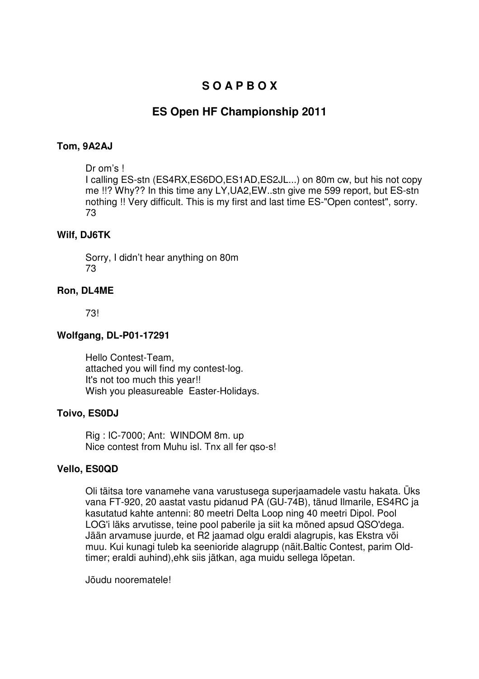# **S O A P B O X**

# **ES Open HF Championship 2011**

## **Tom, 9A2AJ**

#### Dr om's !

I calling ES-stn (ES4RX,ES6DO,ES1AD,ES2JL...) on 80m cw, but his not copy me !!? Why?? In this time any LY,UA2,EW..stn give me 599 report, but ES-stn nothing !! Very difficult. This is my first and last time ES-"Open contest", sorry. 73

### **Wilf, DJ6TK**

Sorry, I didn't hear anything on 80m 73

### **Ron, DL4ME**

73!

### **Wolfgang, DL-P01-17291**

Hello Contest-Team, attached you will find my contest-log. It's not too much this year!! Wish you pleasureable Easter-Holidays.

### **Toivo, ES0DJ**

Rig : IC-7000; Ant: WINDOM 8m. up Nice contest from Muhu isl. Tnx all fer qso-s!

### **Vello, ES0QD**

Oli täitsa tore vanamehe vana varustusega superjaamadele vastu hakata. Üks vana FT-920, 20 aastat vastu pidanud PA (GU-74B), tänud Ilmarile, ES4RC ja kasutatud kahte antenni: 80 meetri Delta Loop ning 40 meetri Dipol. Pool LOG'i läks arvutisse, teine pool paberile ja siit ka mõned apsud QSO'dega. Jään arvamuse juurde, et R2 jaamad olgu eraldi alagrupis, kas Ekstra või muu. Kui kunagi tuleb ka seenioride alagrupp (näit.Baltic Contest, parim Oldtimer; eraldi auhind),ehk siis jätkan, aga muidu sellega lõpetan.

Jõudu noorematele!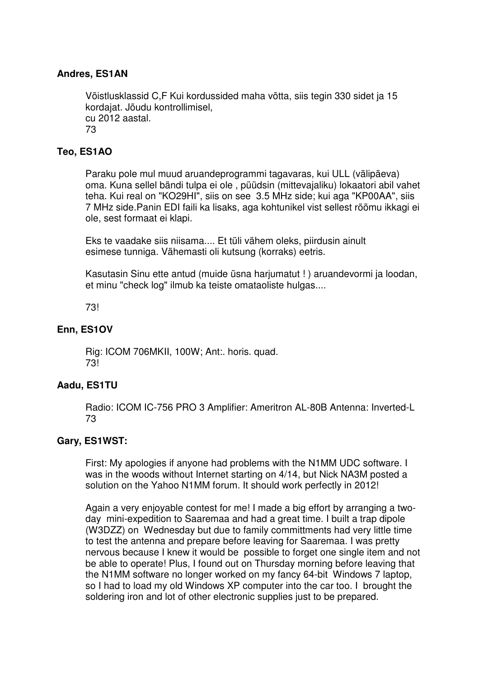# **Andres, ES1AN**

Võistlusklassid C,F Kui kordussided maha võtta, siis tegin 330 sidet ja 15 kordajat. Jõudu kontrollimisel, cu 2012 aastal. 73

### **Teo, ES1AO**

Paraku pole mul muud aruandeprogrammi tagavaras, kui ULL (välipäeva) oma. Kuna sellel bändi tulpa ei ole , püüdsin (mittevajaliku) lokaatori abil vahet teha. Kui real on "KO29HI", siis on see 3.5 MHz side; kui aga "KP00AA", siis 7 MHz side.Panin EDI faili ka lisaks, aga kohtunikel vist sellest rõõmu ikkagi ei ole, sest formaat ei klapi.

Eks te vaadake siis niisama.... Et tüli vähem oleks, piirdusin ainult esimese tunniga. Vähemasti oli kutsung (korraks) eetris.

Kasutasin Sinu ette antud (muide üsna harjumatut ! ) aruandevormi ja loodan, et minu "check log" ilmub ka teiste omataoliste hulgas....

73!

# **Enn, ES1OV**

Rig: ICOM 706MKII, 100W; Ant:. horis. quad. 73!

### **Aadu, ES1TU**

Radio: ICOM IC-756 PRO 3 Amplifier: Ameritron AL-80B Antenna: Inverted-L 73

### **Gary, ES1WST:**

First: My apologies if anyone had problems with the N1MM UDC software. I was in the woods without Internet starting on 4/14, but Nick NA3M posted a solution on the Yahoo N1MM forum. It should work perfectly in 2012!

Again a very enjoyable contest for me! I made a big effort by arranging a twoday mini-expedition to Saaremaa and had a great time. I built a trap dipole (W3DZZ) on Wednesday but due to family committments had very little time to test the antenna and prepare before leaving for Saaremaa. I was pretty nervous because I knew it would be possible to forget one single item and not be able to operate! Plus, I found out on Thursday morning before leaving that the N1MM software no longer worked on my fancy 64-bit Windows 7 laptop, so I had to load my old Windows XP computer into the car too. I brought the soldering iron and lot of other electronic supplies just to be prepared.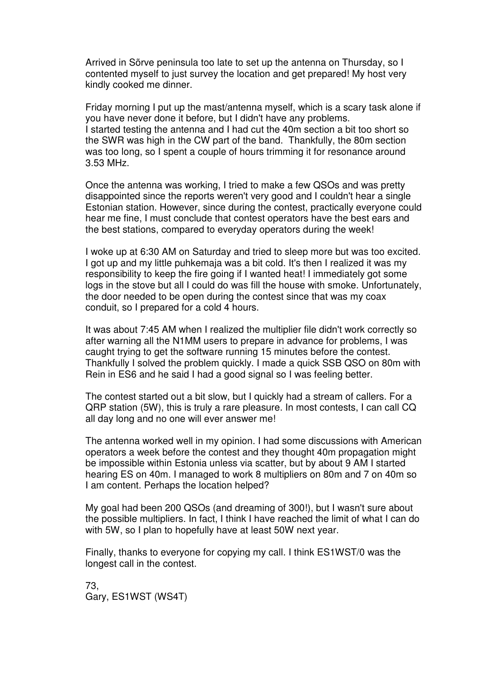Arrived in Sõrve peninsula too late to set up the antenna on Thursday, so I contented myself to just survey the location and get prepared! My host very kindly cooked me dinner.

Friday morning I put up the mast/antenna myself, which is a scary task alone if you have never done it before, but I didn't have any problems. I started testing the antenna and I had cut the 40m section a bit too short so the SWR was high in the CW part of the band. Thankfully, the 80m section was too long, so I spent a couple of hours trimming it for resonance around 3.53 MHz.

Once the antenna was working, I tried to make a few QSOs and was pretty disappointed since the reports weren't very good and I couldn't hear a single Estonian station. However, since during the contest, practically everyone could hear me fine, I must conclude that contest operators have the best ears and the best stations, compared to everyday operators during the week!

I woke up at 6:30 AM on Saturday and tried to sleep more but was too excited. I got up and my little puhkemaja was a bit cold. It's then I realized it was my responsibility to keep the fire going if I wanted heat! I immediately got some logs in the stove but all I could do was fill the house with smoke. Unfortunately, the door needed to be open during the contest since that was my coax conduit, so I prepared for a cold 4 hours.

It was about 7:45 AM when I realized the multiplier file didn't work correctly so after warning all the N1MM users to prepare in advance for problems, I was caught trying to get the software running 15 minutes before the contest. Thankfully I solved the problem quickly. I made a quick SSB QSO on 80m with Rein in ES6 and he said I had a good signal so I was feeling better.

The contest started out a bit slow, but I quickly had a stream of callers. For a QRP station (5W), this is truly a rare pleasure. In most contests, I can call CQ all day long and no one will ever answer me!

The antenna worked well in my opinion. I had some discussions with American operators a week before the contest and they thought 40m propagation might be impossible within Estonia unless via scatter, but by about 9 AM I started hearing ES on 40m. I managed to work 8 multipliers on 80m and 7 on 40m so I am content. Perhaps the location helped?

My goal had been 200 QSOs (and dreaming of 300!), but I wasn't sure about the possible multipliers. In fact, I think I have reached the limit of what I can do with 5W, so I plan to hopefully have at least 50W next year.

Finally, thanks to everyone for copying my call. I think ES1WST/0 was the longest call in the contest.

73, Gary, ES1WST (WS4T)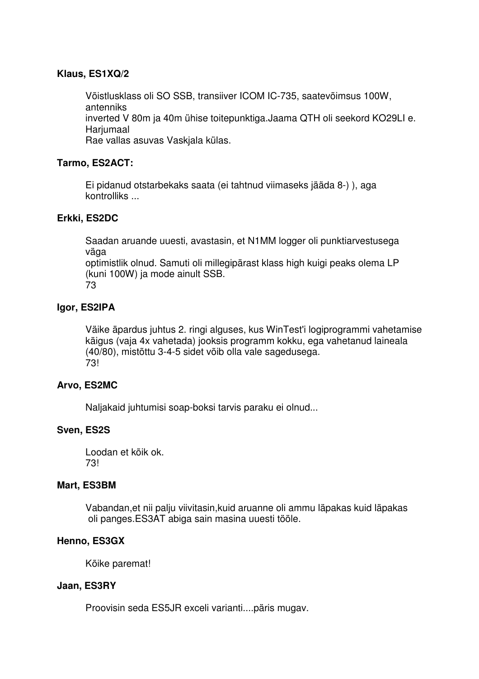# **Klaus, ES1XQ/2**

Võistlusklass oli SO SSB, transiiver ICOM IC-735, saatevõimsus 100W, antenniks inverted V 80m ja 40m ühise toitepunktiga.Jaama QTH oli seekord KO29LI e. Harjumaal

Rae vallas asuvas Vaskjala külas.

# **Tarmo, ES2ACT:**

Ei pidanud otstarbekaks saata (ei tahtnud viimaseks jääda 8-) ), aga kontrolliks ...

# **Erkki, ES2DC**

Saadan aruande uuesti, avastasin, et N1MM logger oli punktiarvestusega väga

optimistlik olnud. Samuti oli millegipärast klass high kuigi peaks olema LP (kuni 100W) ja mode ainult SSB.

73

# **Igor, ES2IPA**

Väike äpardus juhtus 2. ringi alguses, kus WinTest'i logiprogrammi vahetamise käigus (vaja 4x vahetada) jooksis programm kokku, ega vahetanud laineala (40/80), mistõttu 3-4-5 sidet võib olla vale sagedusega. 73!

### **Arvo, ES2MC**

Naljakaid juhtumisi soap-boksi tarvis paraku ei olnud...

### **Sven, ES2S**

Loodan et kõik ok. 73!

### **Mart, ES3BM**

Vabandan,et nii palju viivitasin,kuid aruanne oli ammu läpakas kuid läpakas oli panges.ES3AT abiga sain masina uuesti tööle.

### **Henno, ES3GX**

Kõike paremat!

### **Jaan, ES3RY**

Proovisin seda ES5JR exceli varianti....päris mugav.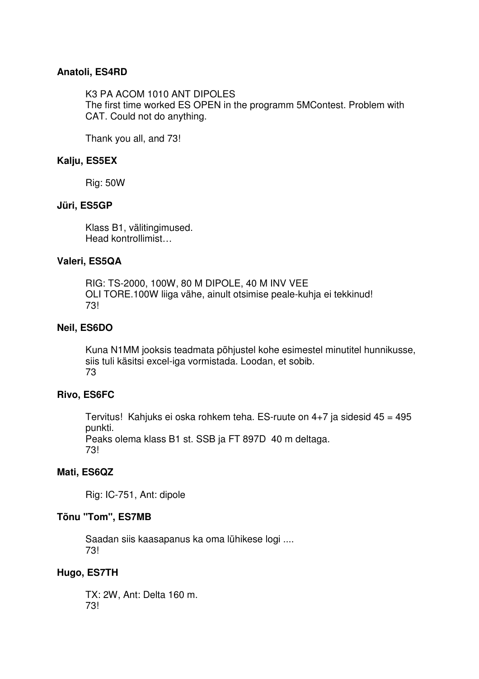### **Anatoli, ES4RD**

K3 PA ACOM 1010 ANT DIPOLES The first time worked ES OPEN in the programm 5MContest. Problem with CAT. Could not do anything.

Thank you all, and 73!

## **Kalju, ES5EX**

Rig: 50W

### **Jüri, ES5GP**

Klass B1, välitingimused. Head kontrollimist…

#### **Valeri, ES5QA**

RIG: TS-2000, 100W, 80 M DIPOLE, 40 M INV VEE OLI TORE.100W liiga vähe, ainult otsimise peale-kuhja ei tekkinud! 73!

#### **Neil, ES6DO**

Kuna N1MM jooksis teadmata põhjustel kohe esimestel minutitel hunnikusse, siis tuli käsitsi excel-iga vormistada. Loodan, et sobib. 73

### **Rivo, ES6FC**

Tervitus! Kahjuks ei oska rohkem teha. ES-ruute on 4+7 ja sidesid 45 = 495 punkti.

Peaks olema klass B1 st. SSB ja FT 897D 40 m deltaga. 73!

### **Mati, ES6QZ**

Rig: IC-751, Ant: dipole

### **Tõnu "Tom", ES7MB**

Saadan siis kaasapanus ka oma lühikese logi .... 73!

### **Hugo, ES7TH**

TX: 2W, Ant: Delta 160 m. 73!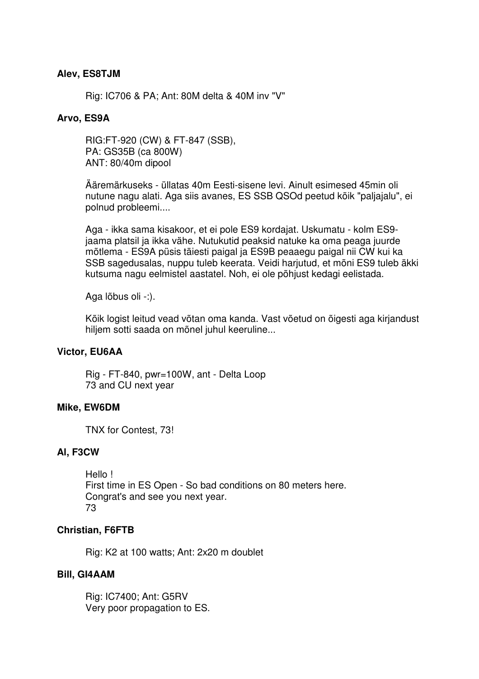#### **Alev, ES8TJM**

Rig: IC706 & PA; Ant: 80M delta & 40M inv "V"

#### **Arvo, ES9A**

RIG:FT-920 (CW) & FT-847 (SSB), PA: GS35B (ca 800W) ANT: 80/40m dipool

Ääremärkuseks - üllatas 40m Eesti-sisene levi. Ainult esimesed 45min oli nutune nagu alati. Aga siis avanes, ES SSB QSOd peetud kõik "paljajalu", ei polnud probleemi....

Aga - ikka sama kisakoor, et ei pole ES9 kordajat. Uskumatu - kolm ES9 jaama platsil ja ikka vähe. Nutukutid peaksid natuke ka oma peaga juurde mõtlema - ES9A püsis täiesti paigal ja ES9B peaaegu paigal nii CW kui ka SSB sagedusalas, nuppu tuleb keerata. Veidi harjutud, et mõni ES9 tuleb äkki kutsuma nagu eelmistel aastatel. Noh, ei ole põhjust kedagi eelistada.

Aga lõbus oli -:).

Kõik logist leitud vead võtan oma kanda. Vast võetud on õigesti aga kirjandust hiljem sotti saada on mõnel juhul keeruline...

#### **Victor, EU6AA**

Rig - FT-840, pwr=100W, ant - Delta Loop 73 and CU next year

#### **Mike, EW6DM**

TNX for Contest, 73!

#### **Al, F3CW**

Hello ! First time in ES Open - So bad conditions on 80 meters here. Congrat's and see you next year. 73

#### **Christian, F6FTB**

Rig: K2 at 100 watts; Ant: 2x20 m doublet

#### **Bill, GI4AAM**

Rig: IC7400; Ant: G5RV Very poor propagation to ES.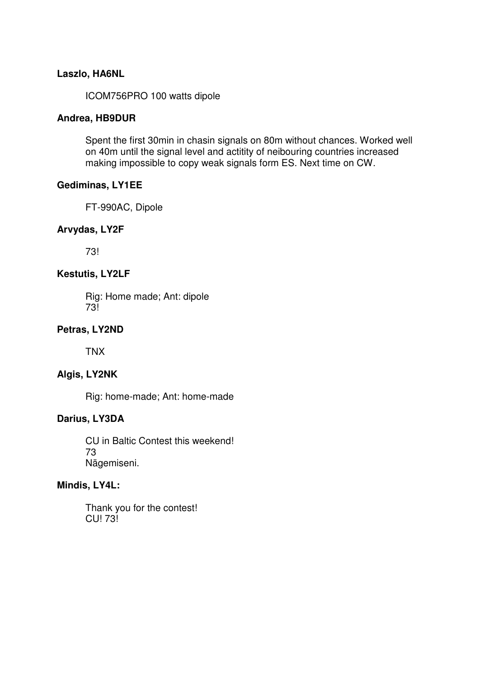### **Laszlo, HA6NL**

ICOM756PRO 100 watts dipole

#### **Andrea, HB9DUR**

Spent the first 30min in chasin signals on 80m without chances. Worked well on 40m until the signal level and actitity of neibouring countries increased making impossible to copy weak signals form ES. Next time on CW.

#### **Gediminas, LY1EE**

FT-990AC, Dipole

#### **Arvydas, LY2F**

73!

#### **Kestutis, LY2LF**

Rig: Home made; Ant: dipole 73!

#### **Petras, LY2ND**

TNX

### **Algis, LY2NK**

Rig: home-made; Ant: home-made

#### **Darius, LY3DA**

CU in Baltic Contest this weekend! 73 Nägemiseni.

### **Mindis, LY4L:**

Thank you for the contest! CU! 73!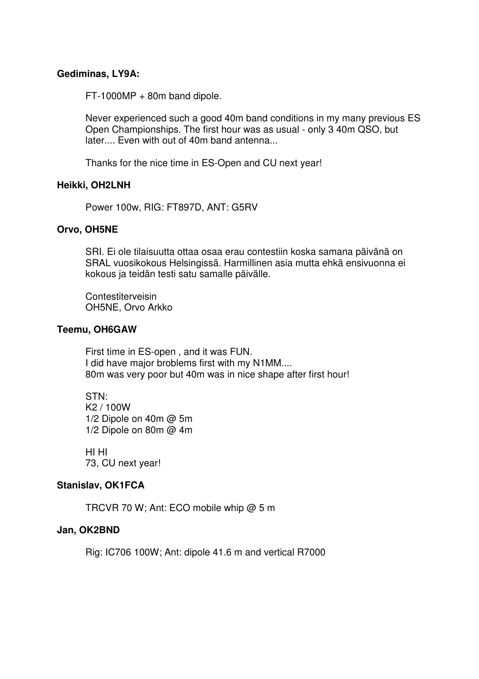#### **Gediminas, LY9A:**

FT-1000MP + 80m band dipole.

Never experienced such a good 40m band conditions in my many previous ES Open Championships. The first hour was as usual - only 3 40m QSO, but later.... Even with out of 40m band antenna...

Thanks for the nice time in ES-Open and CU next year!

#### **Heikki, OH2LNH**

Power 100w, RIG: FT897D, ANT: G5RV

#### **Orvo, OH5NE**

SRI. Ei ole tilaisuutta ottaa osaa erau contestiin koska samana päivänä on SRAL vuosikokous Helsingissä. Harmillinen asia mutta ehkä ensivuonna ei kokous ja teidän testi satu samalle päivälle.

**Contestiterveisin** OH5NE, Orvo Arkko

#### **Teemu, OH6GAW**

First time in ES-open , and it was FUN. I did have major broblems first with my N1MM.... 80m was very poor but 40m was in nice shape after first hour!

STN: K2 / 100W 1/2 Dipole on 40m @ 5m 1/2 Dipole on 80m @ 4m

HI HI 73, CU next year!

#### **Stanislav, OK1FCA**

TRCVR 70 W; Ant: ECO mobile whip @ 5 m

#### **Jan, OK2BND**

Rig: IC706 100W; Ant: dipole 41.6 m and vertical R7000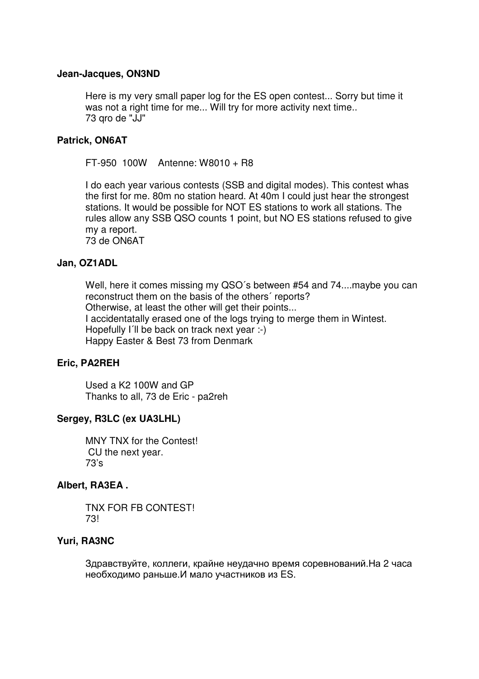#### **Jean-Jacques, ON3ND**

Here is my very small paper log for the ES open contest... Sorry but time it was not a right time for me... Will try for more activity next time.. 73 qro de "JJ"

#### **Patrick, ON6AT**

FT-950 100W Antenne: W8010 + R8

I do each year various contests (SSB and digital modes). This contest whas the first for me. 80m no station heard. At 40m I could just hear the strongest stations. It would be possible for NOT ES stations to work all stations. The rules allow any SSB QSO counts 1 point, but NO ES stations refused to give my a report.

73 de ON6AT

#### **Jan, OZ1ADL**

Well, here it comes missing my QSO´s between #54 and 74....maybe you can reconstruct them on the basis of the others´ reports? Otherwise, at least the other will get their points... I accidentatally erased one of the logs trying to merge them in Wintest. Hopefully I'll be back on track next year :-) Happy Easter & Best 73 from Denmark

#### **Eric, PA2REH**

Used a K2 100W and GP Thanks to all, 73 de Eric - pa2reh

#### **Sergey, R3LC (ex UA3LHL)**

MNY TNX for the Contest! CU the next year. 73's

#### **Albert, RA3EA .**

TNX FOR FB CONTEST! 73!

#### **Yuri, RA3NC**

Здравствуйте, коллеги, крайне неудачно время соревнований.На 2 часа необходимо раньше.И мало участников из ES.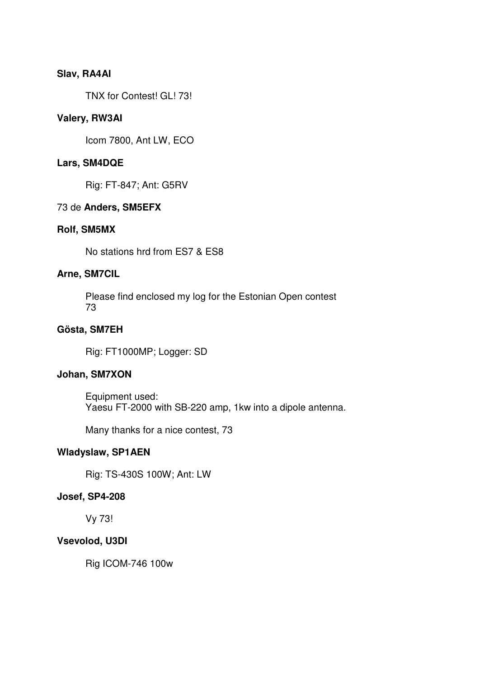### **Slav, RA4AI**

TNX for Contest! GL! 73!

#### **Valery, RW3AI**

Icom 7800, Ant LW, ECO

#### **Lars, SM4DQE**

Rig: FT-847; Ant: G5RV

#### 73 de **Anders, SM5EFX**

#### **Rolf, SM5MX**

No stations hrd from ES7 & ES8

### **Arne, SM7CIL**

Please find enclosed my log for the Estonian Open contest 73

#### **Gösta, SM7EH**

Rig: FT1000MP; Logger: SD

#### **Johan, SM7XON**

Equipment used: Yaesu FT-2000 with SB-220 amp, 1kw into a dipole antenna.

Many thanks for a nice contest, 73

# **Wladyslaw, SP1AEN**

Rig: TS-430S 100W; Ant: LW

#### **Josef, SP4-208**

Vy 73!

#### **Vsevolod, U3DI**

Rig ICOM-746 100w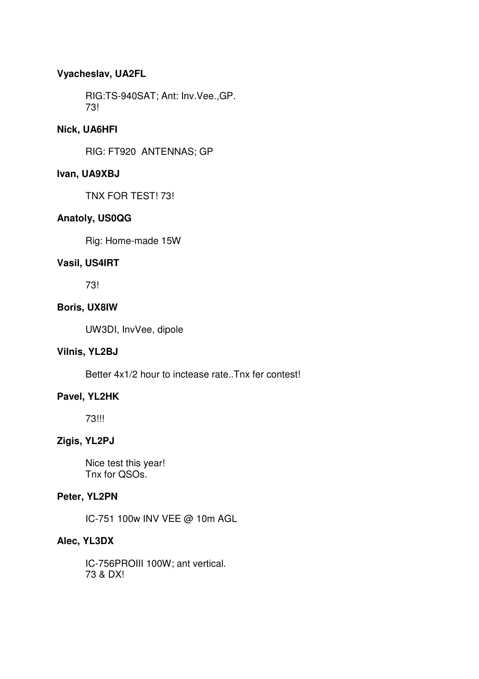# **Vyacheslav, UA2FL**

RIG:TS-940SAT; Ant: Inv.Vee.,GP. 73!

### **Nick, UA6HFI**

RIG: FT920 ANTENNAS; GP

### **Ivan, UA9XBJ**

TNX FOR TEST! 73!

# **Anatoly, US0QG**

Rig: Home-made 15W

### **Vasil, US4IRT**

73!

### **Boris, UX8IW**

UW3DI, InvVee, dipole

### **Vilnis, YL2BJ**

Better 4x1/2 hour to inctease rate..Tnx fer contest!

# **Pavel, YL2HK**

73!!!

# **Zigis, YL2PJ**

Nice test this year! Tnx for QSOs.

#### **Peter, YL2PN**

IC-751 100w INV VEE @ 10m AGL

#### **Alec, YL3DX**

IC-756PROIII 100W; ant vertical. 73 & DX!